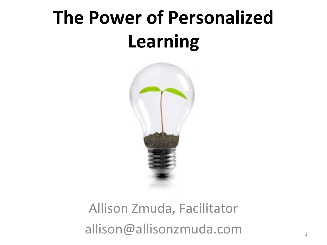## **The Power of Personalized Learning**



#### Allison Zmuda, Facilitator allison@allisonzmuda.com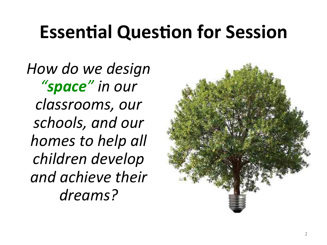#### **Essential Question for Session**

*How do we design "space" in our classrooms, our*  schools, and our *homes* to help all *children develop and achieve their dreams?* 

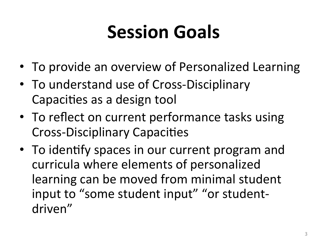# **Session Goals**

- To provide an overview of Personalized Learning
- To understand use of Cross-Disciplinary Capacities as a design tool
- To reflect on current performance tasks using Cross-Disciplinary Capacities
- To identify spaces in our current program and curricula where elements of personalized learning can be moved from minimal student input to "some student input" "or studentdriven"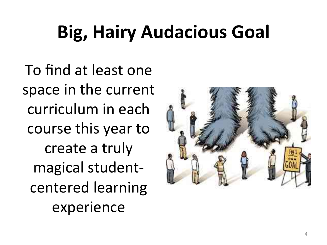# **Big, Hairy Audacious Goal**

To find at least one space in the current curriculum in each course this year to create a truly magical studentcentered learning experience 

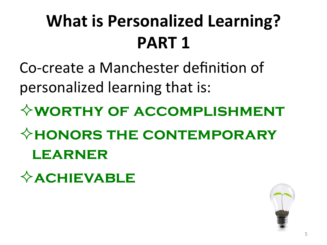#### **What is Personalized Learning? PART 1**

Co-create a Manchester definition of personalized learning that is:

²**worthy of accomplishment** 

²**honors the contemporary learner** 

²**achievable** 

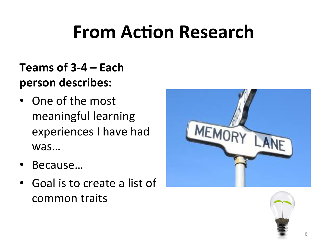## **From Action Research**

#### Teams of 3-4 – Each person describes:

- One of the most meaningful learning experiences I have had was…
- Because…
- Goal is to create a list of common traits



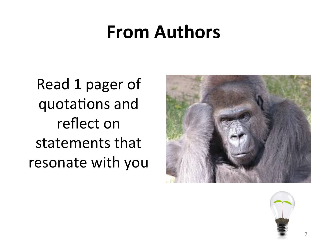#### **From Authors**

Read 1 pager of quotations and reflect on statements that resonate with you



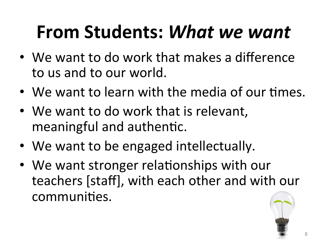# **From Students:** *What we want*

- We want to do work that makes a difference to us and to our world.
- We want to learn with the media of our times.
- We want to do work that is relevant, meaningful and authentic.
- We want to be engaged intellectually.
- We want stronger relationships with our teachers [staff], with each other and with our communities.

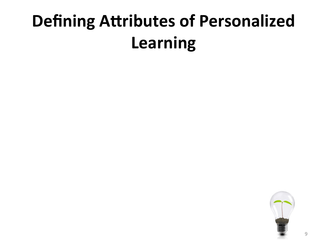#### **Defining Attributes of Personalized Learning**

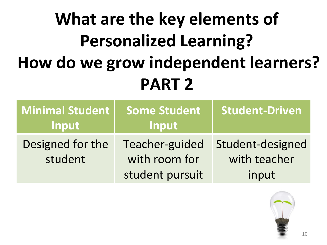#### **What are the key elements of Personalized Learning? How do we grow independent learners? PART 2**

| <b>Minimal Student</b><br>Input | <b>Some Student</b><br>Input                       | <b>Student-Driven</b>                     |
|---------------------------------|----------------------------------------------------|-------------------------------------------|
| Designed for the<br>student     | Teacher-guided<br>with room for<br>student pursuit | Student-designed<br>with teacher<br>input |

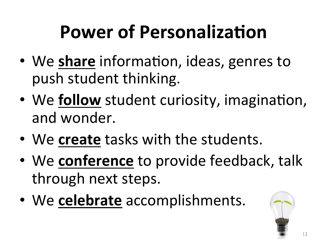# **Power of Personalization**

- We share information, ideas, genres to push student thinking.
- We **follow** student curiosity, imagination, and wonder.
- We create tasks with the students.
- We **conference** to provide feedback, talk through next steps.
- We celebrate accomplishments.

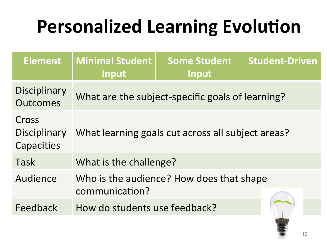| <b>Element</b>                         | <b>Minimal Student</b><br>Input                   | <b>Some Student</b><br>Input                     | <b>Student-Driven</b> |
|----------------------------------------|---------------------------------------------------|--------------------------------------------------|-----------------------|
| <b>Disciplinary</b><br><b>Outcomes</b> |                                                   | What are the subject-specific goals of learning? |                       |
| Cross<br>Disciplinary<br>Capacities    | What learning goals cut across all subject areas? |                                                  |                       |
| Task                                   | What is the challenge?                            |                                                  |                       |
| Audience                               | communication?                                    | Who is the audience? How does that shape         |                       |
| Feedback                               | How do students use feedback?                     |                                                  |                       |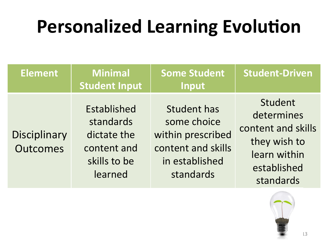| <b>Element</b>                         | <b>Minimal</b><br><b>Student Input</b>                                                   | <b>Some Student</b><br>Input                                                                                | <b>Student-Driven</b>                                                                                   |
|----------------------------------------|------------------------------------------------------------------------------------------|-------------------------------------------------------------------------------------------------------------|---------------------------------------------------------------------------------------------------------|
| <b>Disciplinary</b><br><b>Outcomes</b> | <b>Established</b><br>standards<br>dictate the<br>content and<br>skills to be<br>learned | <b>Student has</b><br>some choice<br>within prescribed<br>content and skills<br>in established<br>standards | Student<br>determines<br>content and skills<br>they wish to<br>learn within<br>established<br>standards |

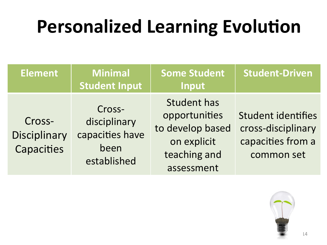| <b>Element</b>                              | <b>Minimal</b><br><b>Student Input</b>                           | <b>Some Student</b><br>Input                                                                         | <b>Student-Driven</b>                                                              |
|---------------------------------------------|------------------------------------------------------------------|------------------------------------------------------------------------------------------------------|------------------------------------------------------------------------------------|
| Cross-<br><b>Disciplinary</b><br>Capacities | Cross-<br>disciplinary<br>capacities have<br>been<br>established | <b>Student has</b><br>opportunities<br>to develop based<br>on explicit<br>teaching and<br>assessment | <b>Student identifies</b><br>cross-disciplinary<br>capacities from a<br>common set |

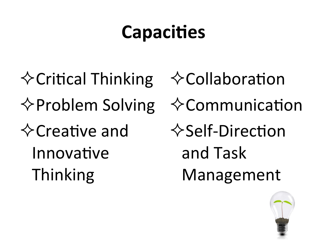# **Capacities**

 $\Diamond$  Critical Thinking  $\Diamond$  Problem Solving  $\Diamond$ Creative and Innovative Thinking 

 $\diamondsuit$ Collaboration  $\diamondsuit$ Communication  $\Diamond$ Self-Direction and Task Management 

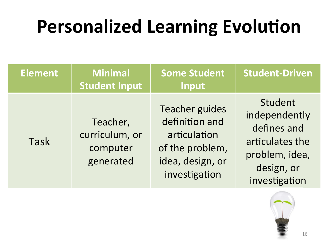| <b>Element</b> | <b>Minimal</b><br><b>Student Input</b>              | <b>Some Student</b><br>Input                                                                                    | <b>Student-Driven</b>                                                                                       |
|----------------|-----------------------------------------------------|-----------------------------------------------------------------------------------------------------------------|-------------------------------------------------------------------------------------------------------------|
| <b>Task</b>    | Teacher,<br>curriculum, or<br>computer<br>generated | <b>Teacher guides</b><br>definition and<br>articulation<br>of the problem,<br>idea, design, or<br>investigation | Student<br>independently<br>defines and<br>articulates the<br>problem, idea,<br>design, or<br>investigation |

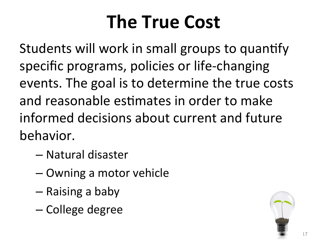# **The True Cost**

Students will work in small groups to quantify specific programs, policies or life-changing events. The goal is to determine the true costs and reasonable estimates in order to make informed decisions about current and future behavior. 

- Natural disaster
- Owning a motor vehicle
- $-$  Raising a baby
- College degree

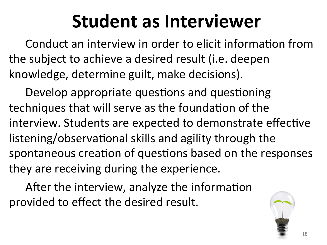### **Student as Interviewer**

Conduct an interview in order to elicit information from the subject to achieve a desired result (i.e. deepen knowledge, determine guilt, make decisions).

Develop appropriate questions and questioning techniques that will serve as the foundation of the interview. Students are expected to demonstrate effective listening/observational skills and agility through the spontaneous creation of questions based on the responses they are receiving during the experience.

After the interview, analyze the information provided to effect the desired result.

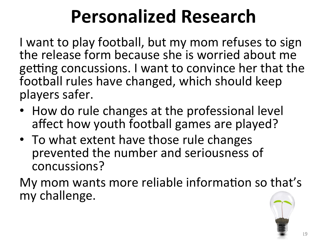# **Personalized Research**

I want to play football, but my mom refuses to sign the release form because she is worried about me getting concussions. I want to convince her that the football rules have changed, which should keep players safer.

- How do rule changes at the professional level affect how youth football games are played?
- To what extent have those rule changes prevented the number and seriousness of concussions?

My mom wants more reliable information so that's my challenge.

19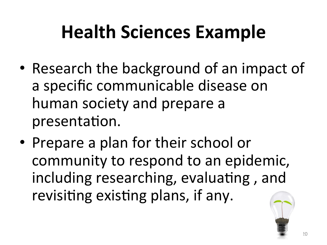# **Health Sciences Example**

- Research the background of an impact of a specific communicable disease on human society and prepare a presentation.
- Prepare a plan for their school or community to respond to an epidemic, including researching, evaluating, and revisiting existing plans, if any.

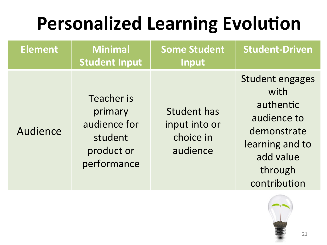| <b>Element</b> | <b>Minimal</b><br><b>Student Input</b>                                        | <b>Some Student</b><br>Input                                 | <b>Student-Driven</b>                                                                                                                |
|----------------|-------------------------------------------------------------------------------|--------------------------------------------------------------|--------------------------------------------------------------------------------------------------------------------------------------|
| Audience       | Teacher is<br>primary<br>audience for<br>student<br>product or<br>performance | <b>Student has</b><br>input into or<br>choice in<br>audience | <b>Student engages</b><br>with<br>authentic<br>audience to<br>demonstrate<br>learning and to<br>add value<br>through<br>contribution |

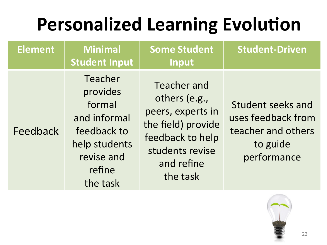| <b>Element</b> | <b>Minimal</b><br><b>Student Input</b>                                                                            | <b>Some Student</b><br>Input                                                                                                             | <b>Student-Driven</b>                                                                    |
|----------------|-------------------------------------------------------------------------------------------------------------------|------------------------------------------------------------------------------------------------------------------------------------------|------------------------------------------------------------------------------------------|
| Feedback       | Teacher<br>provides<br>formal<br>and informal<br>feedback to<br>help students<br>revise and<br>refine<br>the task | Teacher and<br>others (e.g.,<br>peers, experts in<br>the field) provide<br>feedback to help<br>students revise<br>and refine<br>the task | Student seeks and<br>uses feedback from<br>teacher and others<br>to guide<br>performance |
|                |                                                                                                                   |                                                                                                                                          |                                                                                          |

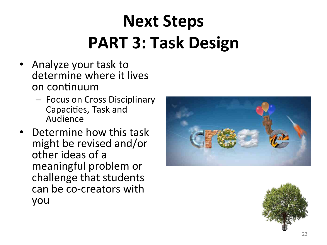#### **Next Steps PART 3: Task Design**

- Analyze your task to determine where it lives on continuum
	- $-$  Focus on Cross Disciplinary Capacities, Task and Audience
- **Determine how this task** might be revised and/or other ideas of a meaningful problem or challenge that students can be co-creators with you